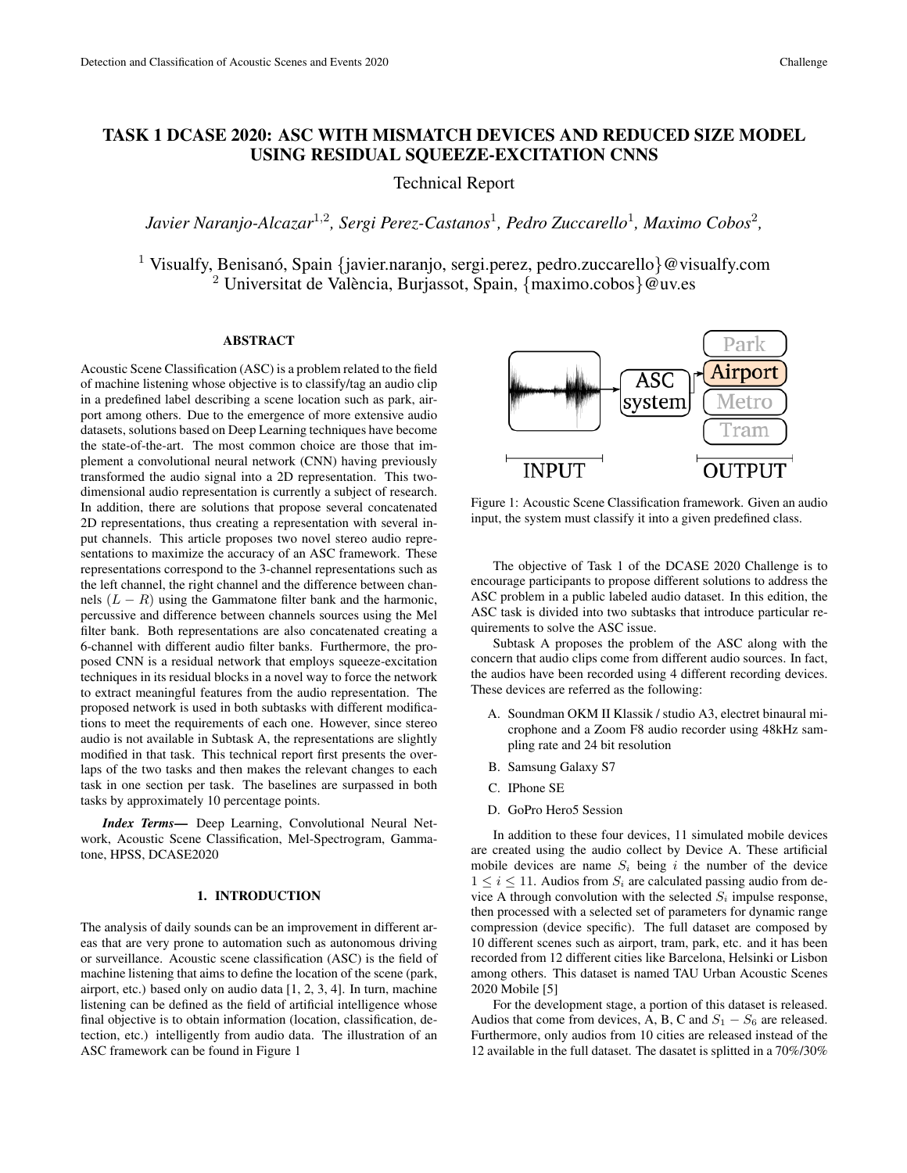# TASK 1 DCASE 2020: ASC WITH MISMATCH DEVICES AND REDUCED SIZE MODEL USING RESIDUAL SQUEEZE-EXCITATION CNNS

Technical Report

*Javier Naranjo-Alcazar*<sup>1</sup>,<sup>2</sup> *, Sergi Perez-Castanos*<sup>1</sup> *, Pedro Zuccarello*<sup>1</sup> *, Maximo Cobos*<sup>2</sup> *,*

<sup>1</sup> Visualfy, Benisanó, Spain {javier.naranjo, sergi.perez, pedro.zuccarello}@visualfy.com  $^{2}$  Universitat de València, Burjassot, Spain, {maximo.cobos}@uv.es

# ABSTRACT

Acoustic Scene Classification (ASC) is a problem related to the field of machine listening whose objective is to classify/tag an audio clip in a predefined label describing a scene location such as park, airport among others. Due to the emergence of more extensive audio datasets, solutions based on Deep Learning techniques have become the state-of-the-art. The most common choice are those that implement a convolutional neural network (CNN) having previously transformed the audio signal into a 2D representation. This twodimensional audio representation is currently a subject of research. In addition, there are solutions that propose several concatenated 2D representations, thus creating a representation with several input channels. This article proposes two novel stereo audio representations to maximize the accuracy of an ASC framework. These representations correspond to the 3-channel representations such as the left channel, the right channel and the difference between channels  $(L - R)$  using the Gammatone filter bank and the harmonic, percussive and difference between channels sources using the Mel filter bank. Both representations are also concatenated creating a 6-channel with different audio filter banks. Furthermore, the proposed CNN is a residual network that employs squeeze-excitation techniques in its residual blocks in a novel way to force the network to extract meaningful features from the audio representation. The proposed network is used in both subtasks with different modifications to meet the requirements of each one. However, since stereo audio is not available in Subtask A, the representations are slightly modified in that task. This technical report first presents the overlaps of the two tasks and then makes the relevant changes to each task in one section per task. The baselines are surpassed in both tasks by approximately 10 percentage points.

*Index Terms*— Deep Learning, Convolutional Neural Network, Acoustic Scene Classification, Mel-Spectrogram, Gammatone, HPSS, DCASE2020

# 1. INTRODUCTION

The analysis of daily sounds can be an improvement in different areas that are very prone to automation such as autonomous driving or surveillance. Acoustic scene classification (ASC) is the field of machine listening that aims to define the location of the scene (park, airport, etc.) based only on audio data [1, 2, 3, 4]. In turn, machine listening can be defined as the field of artificial intelligence whose final objective is to obtain information (location, classification, detection, etc.) intelligently from audio data. The illustration of an ASC framework can be found in Figure 1



Figure 1: Acoustic Scene Classification framework. Given an audio input, the system must classify it into a given predefined class.

The objective of Task 1 of the DCASE 2020 Challenge is to encourage participants to propose different solutions to address the ASC problem in a public labeled audio dataset. In this edition, the ASC task is divided into two subtasks that introduce particular requirements to solve the ASC issue.

Subtask A proposes the problem of the ASC along with the concern that audio clips come from different audio sources. In fact, the audios have been recorded using 4 different recording devices. These devices are referred as the following:

- A. Soundman OKM II Klassik / studio A3, electret binaural microphone and a Zoom F8 audio recorder using 48kHz sampling rate and 24 bit resolution
- B. Samsung Galaxy S7
- C. IPhone SE
- D. GoPro Hero5 Session

In addition to these four devices, 11 simulated mobile devices are created using the audio collect by Device A. These artificial mobile devices are name  $S_i$  being i the number of the device  $1 \leq i \leq 11$ . Audios from  $S_i$  are calculated passing audio from device A through convolution with the selected  $S_i$  impulse response, then processed with a selected set of parameters for dynamic range compression (device specific). The full dataset are composed by 10 different scenes such as airport, tram, park, etc. and it has been recorded from 12 different cities like Barcelona, Helsinki or Lisbon among others. This dataset is named TAU Urban Acoustic Scenes 2020 Mobile [5]

For the development stage, a portion of this dataset is released. Audios that come from devices, A, B, C and  $S_1 - S_6$  are released. Furthermore, only audios from 10 cities are released instead of the 12 available in the full dataset. The dasatet is splitted in a 70%/30%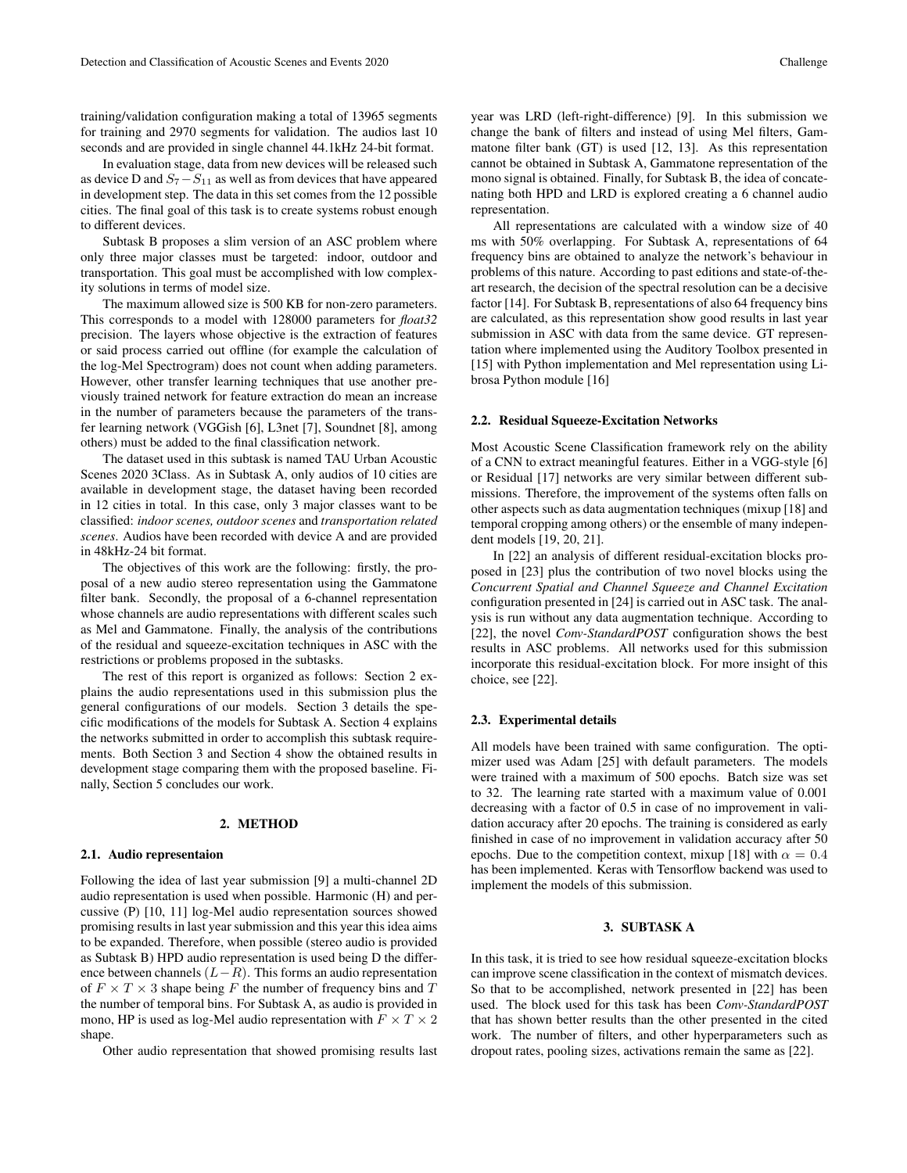training/validation configuration making a total of 13965 segments for training and 2970 segments for validation. The audios last 10 seconds and are provided in single channel 44.1kHz 24-bit format.

In evaluation stage, data from new devices will be released such as device D and  $S_7 - S_{11}$  as well as from devices that have appeared in development step. The data in this set comes from the 12 possible cities. The final goal of this task is to create systems robust enough to different devices.

Subtask B proposes a slim version of an ASC problem where only three major classes must be targeted: indoor, outdoor and transportation. This goal must be accomplished with low complexity solutions in terms of model size.

The maximum allowed size is 500 KB for non-zero parameters. This corresponds to a model with 128000 parameters for *float32* precision. The layers whose objective is the extraction of features or said process carried out offline (for example the calculation of the log-Mel Spectrogram) does not count when adding parameters. However, other transfer learning techniques that use another previously trained network for feature extraction do mean an increase in the number of parameters because the parameters of the transfer learning network (VGGish [6], L3net [7], Soundnet [8], among others) must be added to the final classification network.

The dataset used in this subtask is named TAU Urban Acoustic Scenes 2020 3Class. As in Subtask A, only audios of 10 cities are available in development stage, the dataset having been recorded in 12 cities in total. In this case, only 3 major classes want to be classified: *indoor scenes, outdoor scenes* and *transportation related scenes*. Audios have been recorded with device A and are provided in 48kHz-24 bit format.

The objectives of this work are the following: firstly, the proposal of a new audio stereo representation using the Gammatone filter bank. Secondly, the proposal of a 6-channel representation whose channels are audio representations with different scales such as Mel and Gammatone. Finally, the analysis of the contributions of the residual and squeeze-excitation techniques in ASC with the restrictions or problems proposed in the subtasks.

The rest of this report is organized as follows: Section 2 explains the audio representations used in this submission plus the general configurations of our models. Section 3 details the specific modifications of the models for Subtask A. Section 4 explains the networks submitted in order to accomplish this subtask requirements. Both Section 3 and Section 4 show the obtained results in development stage comparing them with the proposed baseline. Finally, Section 5 concludes our work.

#### 2. METHOD

#### 2.1. Audio representaion

Following the idea of last year submission [9] a multi-channel 2D audio representation is used when possible. Harmonic (H) and percussive (P) [10, 11] log-Mel audio representation sources showed promising results in last year submission and this year this idea aims to be expanded. Therefore, when possible (stereo audio is provided as Subtask B) HPD audio representation is used being D the difference between channels  $(L-R)$ . This forms an audio representation of  $F \times T \times 3$  shape being F the number of frequency bins and T the number of temporal bins. For Subtask A, as audio is provided in mono, HP is used as log-Mel audio representation with  $F \times T \times 2$ shape.

Other audio representation that showed promising results last

year was LRD (left-right-difference) [9]. In this submission we change the bank of filters and instead of using Mel filters, Gammatone filter bank (GT) is used [12, 13]. As this representation cannot be obtained in Subtask A, Gammatone representation of the mono signal is obtained. Finally, for Subtask B, the idea of concatenating both HPD and LRD is explored creating a 6 channel audio representation.

All representations are calculated with a window size of 40 ms with 50% overlapping. For Subtask A, representations of 64 frequency bins are obtained to analyze the network's behaviour in problems of this nature. According to past editions and state-of-theart research, the decision of the spectral resolution can be a decisive factor [14]. For Subtask B, representations of also 64 frequency bins are calculated, as this representation show good results in last year submission in ASC with data from the same device. GT representation where implemented using the Auditory Toolbox presented in [15] with Python implementation and Mel representation using Librosa Python module [16]

#### 2.2. Residual Squeeze-Excitation Networks

Most Acoustic Scene Classification framework rely on the ability of a CNN to extract meaningful features. Either in a VGG-style [6] or Residual [17] networks are very similar between different submissions. Therefore, the improvement of the systems often falls on other aspects such as data augmentation techniques (mixup [18] and temporal cropping among others) or the ensemble of many independent models [19, 20, 21].

In [22] an analysis of different residual-excitation blocks proposed in [23] plus the contribution of two novel blocks using the *Concurrent Spatial and Channel Squeeze and Channel Excitation* configuration presented in [24] is carried out in ASC task. The analysis is run without any data augmentation technique. According to [22], the novel *Conv-StandardPOST* configuration shows the best results in ASC problems. All networks used for this submission incorporate this residual-excitation block. For more insight of this choice, see [22].

### 2.3. Experimental details

All models have been trained with same configuration. The optimizer used was Adam [25] with default parameters. The models were trained with a maximum of 500 epochs. Batch size was set to 32. The learning rate started with a maximum value of 0.001 decreasing with a factor of 0.5 in case of no improvement in validation accuracy after 20 epochs. The training is considered as early finished in case of no improvement in validation accuracy after 50 epochs. Due to the competition context, mixup [18] with  $\alpha = 0.4$ has been implemented. Keras with Tensorflow backend was used to implement the models of this submission.

# 3. SUBTASK A

In this task, it is tried to see how residual squeeze-excitation blocks can improve scene classification in the context of mismatch devices. So that to be accomplished, network presented in [22] has been used. The block used for this task has been *Conv-StandardPOST* that has shown better results than the other presented in the cited work. The number of filters, and other hyperparameters such as dropout rates, pooling sizes, activations remain the same as [22].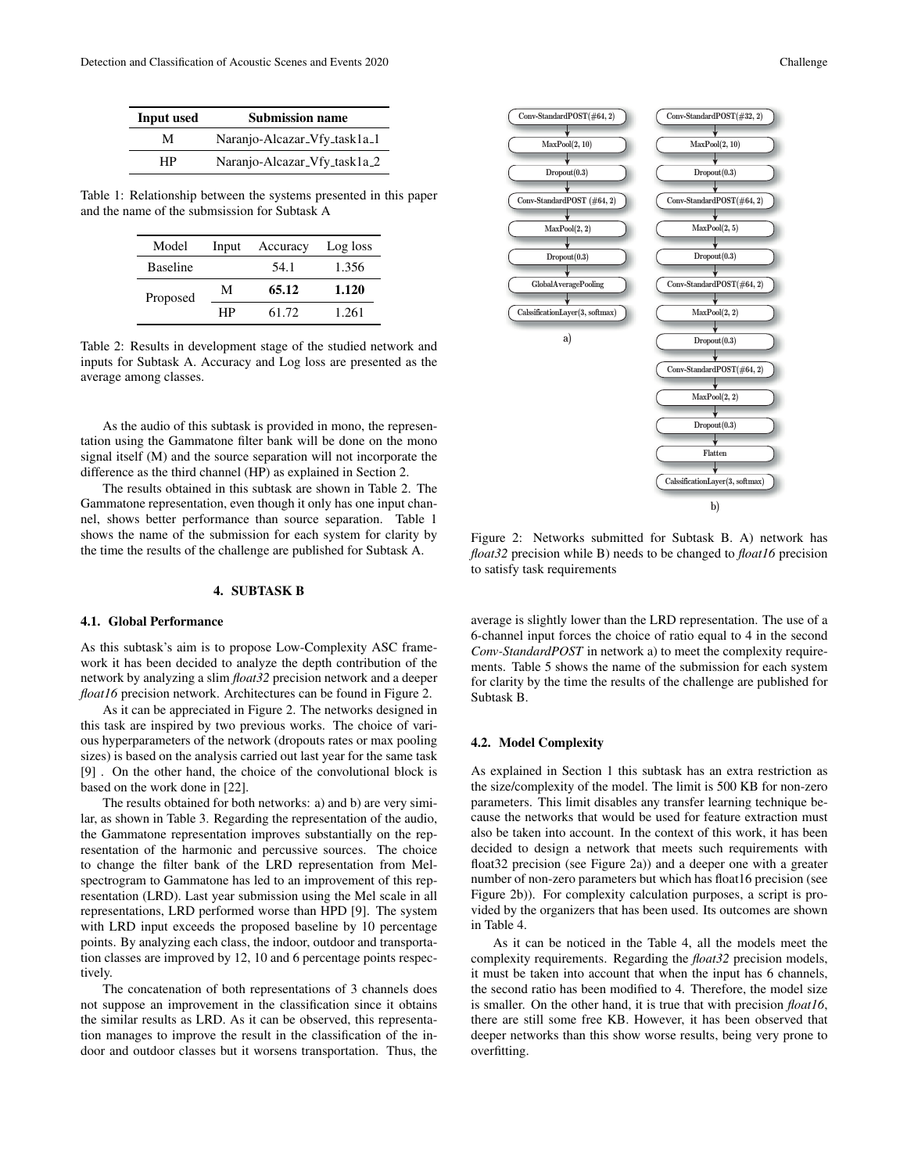| <b>Input used</b> | <b>Submission name</b>       |
|-------------------|------------------------------|
| М                 | Naranjo-Alcazar_Vfy_task1a_1 |
| НP                | Naranjo-Alcazar_Vfy_task1a_2 |

Table 1: Relationship between the systems presented in this paper and the name of the submsission for Subtask A

| Model           | Input | Accuracy | Log loss |
|-----------------|-------|----------|----------|
| <b>Baseline</b> |       | 54.1     | 1.356    |
| Proposed        | М     | 65.12    | 1.120    |
|                 | НP    | 61.72    | 1.261    |

Table 2: Results in development stage of the studied network and inputs for Subtask A. Accuracy and Log loss are presented as the average among classes.

As the audio of this subtask is provided in mono, the representation using the Gammatone filter bank will be done on the mono signal itself (M) and the source separation will not incorporate the difference as the third channel (HP) as explained in Section 2.

The results obtained in this subtask are shown in Table 2. The Gammatone representation, even though it only has one input channel, shows better performance than source separation. Table 1 shows the name of the submission for each system for clarity by the time the results of the challenge are published for Subtask A.

# 4. SUBTASK B

#### 4.1. Global Performance

As this subtask's aim is to propose Low-Complexity ASC framework it has been decided to analyze the depth contribution of the network by analyzing a slim *float32* precision network and a deeper *float16* precision network. Architectures can be found in Figure 2.

As it can be appreciated in Figure 2. The networks designed in this task are inspired by two previous works. The choice of various hyperparameters of the network (dropouts rates or max pooling sizes) is based on the analysis carried out last year for the same task [9] . On the other hand, the choice of the convolutional block is based on the work done in [22].

The results obtained for both networks: a) and b) are very similar, as shown in Table 3. Regarding the representation of the audio, the Gammatone representation improves substantially on the representation of the harmonic and percussive sources. The choice to change the filter bank of the LRD representation from Melspectrogram to Gammatone has led to an improvement of this representation (LRD). Last year submission using the Mel scale in all representations, LRD performed worse than HPD [9]. The system with LRD input exceeds the proposed baseline by 10 percentage points. By analyzing each class, the indoor, outdoor and transportation classes are improved by 12, 10 and 6 percentage points respectively.

The concatenation of both representations of 3 channels does not suppose an improvement in the classification since it obtains the similar results as LRD. As it can be observed, this representation manages to improve the result in the classification of the indoor and outdoor classes but it worsens transportation. Thus, the



Figure 2: Networks submitted for Subtask B. A) network has *float32* precision while B) needs to be changed to *float16* precision to satisfy task requirements

average is slightly lower than the LRD representation. The use of a 6-channel input forces the choice of ratio equal to 4 in the second *Conv-StandardPOST* in network a) to meet the complexity requirements. Table 5 shows the name of the submission for each system for clarity by the time the results of the challenge are published for Subtask B.

## 4.2. Model Complexity

As explained in Section 1 this subtask has an extra restriction as the size/complexity of the model. The limit is 500 KB for non-zero parameters. This limit disables any transfer learning technique because the networks that would be used for feature extraction must also be taken into account. In the context of this work, it has been decided to design a network that meets such requirements with float32 precision (see Figure 2a)) and a deeper one with a greater number of non-zero parameters but which has float16 precision (see Figure 2b)). For complexity calculation purposes, a script is provided by the organizers that has been used. Its outcomes are shown in Table 4.

As it can be noticed in the Table 4, all the models meet the complexity requirements. Regarding the *float32* precision models, it must be taken into account that when the input has 6 channels, the second ratio has been modified to 4. Therefore, the model size is smaller. On the other hand, it is true that with precision *float16*, there are still some free KB. However, it has been observed that deeper networks than this show worse results, being very prone to overfitting.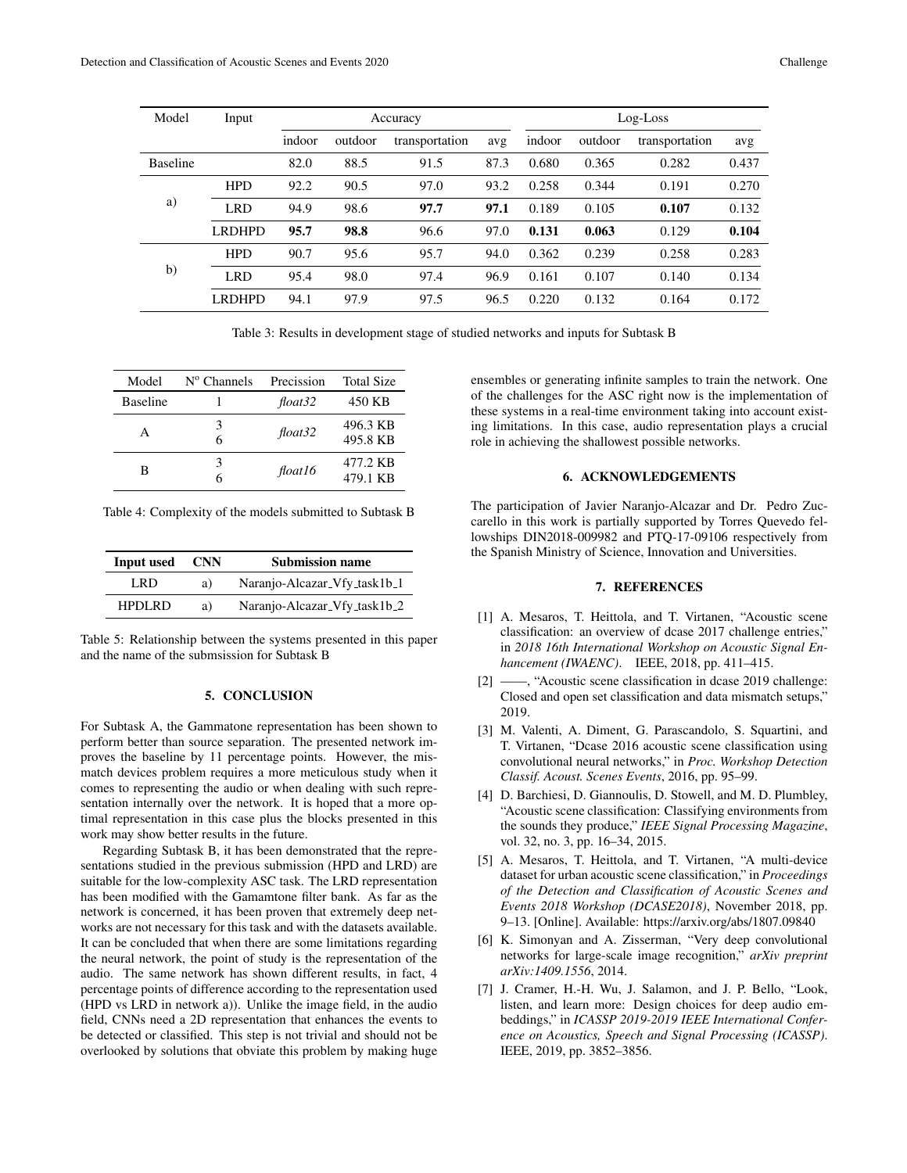| Model           | Input         |        | Accuracy |                |      |        |         | $Log$ -Loss    |       |
|-----------------|---------------|--------|----------|----------------|------|--------|---------|----------------|-------|
|                 |               | indoor | outdoor  | transportation | avg  | indoor | outdoor | transportation | avg   |
| <b>Baseline</b> |               | 82.0   | 88.5     | 91.5           | 87.3 | 0.680  | 0.365   | 0.282          | 0.437 |
| a)              | <b>HPD</b>    | 92.2   | 90.5     | 97.0           | 93.2 | 0.258  | 0.344   | 0.191          | 0.270 |
|                 | <b>LRD</b>    | 94.9   | 98.6     | 97.7           | 97.1 | 0.189  | 0.105   | 0.107          | 0.132 |
|                 | <b>LRDHPD</b> | 95.7   | 98.8     | 96.6           | 97.0 | 0.131  | 0.063   | 0.129          | 0.104 |
|                 | <b>HPD</b>    | 90.7   | 95.6     | 95.7           | 94.0 | 0.362  | 0.239   | 0.258          | 0.283 |
| $\mathbf{b}$    | <b>LRD</b>    | 95.4   | 98.0     | 97.4           | 96.9 | 0.161  | 0.107   | 0.140          | 0.134 |
|                 | <b>LRDHPD</b> | 94.1   | 97.9     | 97.5           | 96.5 | 0.220  | 0.132   | 0.164          | 0.172 |

Table 3: Results in development stage of studied networks and inputs for Subtask B

| Model           | $N^{\circ}$ Channels | Precission | <b>Total Size</b>    |
|-----------------|----------------------|------------|----------------------|
| <b>Baseline</b> |                      | float32    | 450 KB               |
| A               | 3<br>6               | float32    | 496.3 KB<br>495.8 KB |
| в               | 3                    | float16    | 477.2 KB<br>479.1 KB |

Table 4: Complexity of the models submitted to Subtask B

| Input used    | <b>CNN</b> | <b>Submission name</b>       |
|---------------|------------|------------------------------|
| LRD           | a)         | Naranjo-Alcazar_Vfy_task1b_1 |
| <b>HPDLRD</b> | a)         | Naranjo-Alcazar_Vfy_task1b_2 |

Table 5: Relationship between the systems presented in this paper and the name of the submsission for Subtask B

# 5. CONCLUSION

For Subtask A, the Gammatone representation has been shown to perform better than source separation. The presented network improves the baseline by 11 percentage points. However, the mismatch devices problem requires a more meticulous study when it comes to representing the audio or when dealing with such representation internally over the network. It is hoped that a more optimal representation in this case plus the blocks presented in this work may show better results in the future.

Regarding Subtask B, it has been demonstrated that the representations studied in the previous submission (HPD and LRD) are suitable for the low-complexity ASC task. The LRD representation has been modified with the Gamamtone filter bank. As far as the network is concerned, it has been proven that extremely deep networks are not necessary for this task and with the datasets available. It can be concluded that when there are some limitations regarding the neural network, the point of study is the representation of the audio. The same network has shown different results, in fact, 4 percentage points of difference according to the representation used (HPD vs LRD in network a)). Unlike the image field, in the audio field, CNNs need a 2D representation that enhances the events to be detected or classified. This step is not trivial and should not be overlooked by solutions that obviate this problem by making huge ensembles or generating infinite samples to train the network. One of the challenges for the ASC right now is the implementation of these systems in a real-time environment taking into account existing limitations. In this case, audio representation plays a crucial role in achieving the shallowest possible networks.

#### 6. ACKNOWLEDGEMENTS

The participation of Javier Naranjo-Alcazar and Dr. Pedro Zuccarello in this work is partially supported by Torres Quevedo fellowships DIN2018-009982 and PTQ-17-09106 respectively from the Spanish Ministry of Science, Innovation and Universities.

# 7. REFERENCES

- [1] A. Mesaros, T. Heittola, and T. Virtanen, "Acoustic scene classification: an overview of dcase 2017 challenge entries," in *2018 16th International Workshop on Acoustic Signal Enhancement (IWAENC)*. IEEE, 2018, pp. 411–415.
- [2] ——, "Acoustic scene classification in dcase 2019 challenge: Closed and open set classification and data mismatch setups," 2019.
- [3] M. Valenti, A. Diment, G. Parascandolo, S. Squartini, and T. Virtanen, "Dcase 2016 acoustic scene classification using convolutional neural networks," in *Proc. Workshop Detection Classif. Acoust. Scenes Events*, 2016, pp. 95–99.
- [4] D. Barchiesi, D. Giannoulis, D. Stowell, and M. D. Plumbley, "Acoustic scene classification: Classifying environments from the sounds they produce," *IEEE Signal Processing Magazine*, vol. 32, no. 3, pp. 16–34, 2015.
- [5] A. Mesaros, T. Heittola, and T. Virtanen, "A multi-device dataset for urban acoustic scene classification," in *Proceedings of the Detection and Classification of Acoustic Scenes and Events 2018 Workshop (DCASE2018)*, November 2018, pp. 9–13. [Online]. Available: https://arxiv.org/abs/1807.09840
- [6] K. Simonyan and A. Zisserman, "Very deep convolutional networks for large-scale image recognition," *arXiv preprint arXiv:1409.1556*, 2014.
- [7] J. Cramer, H.-H. Wu, J. Salamon, and J. P. Bello, "Look, listen, and learn more: Design choices for deep audio embeddings," in *ICASSP 2019-2019 IEEE International Conference on Acoustics, Speech and Signal Processing (ICASSP)*. IEEE, 2019, pp. 3852–3856.